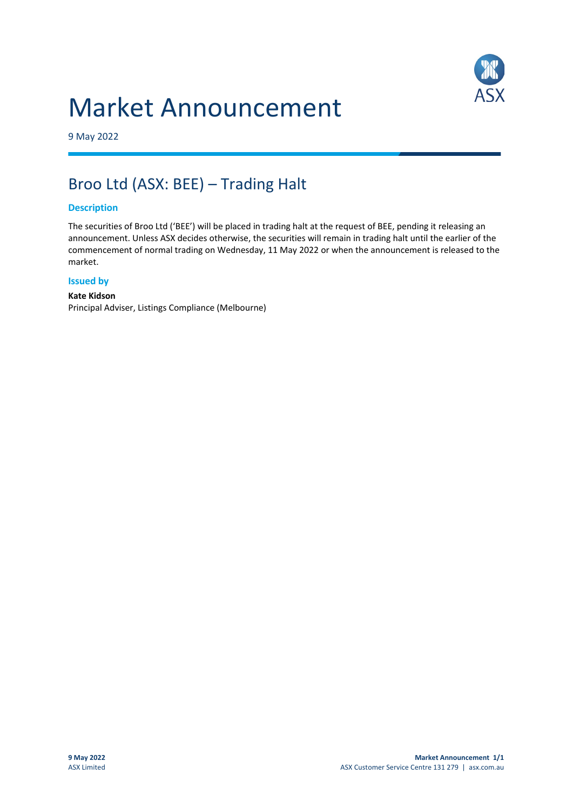# Market Announcement



9 May 2022

## Broo Ltd (ASX: BEE) – Trading Halt

#### **Description**

The securities of Broo Ltd ('BEE') will be placed in trading halt at the request of BEE, pending it releasing an announcement. Unless ASX decides otherwise, the securities will remain in trading halt until the earlier of the commencement of normal trading on Wednesday, 11 May 2022 or when the announcement is released to the market.

#### **Issued by**

#### **Kate Kidson** Principal Adviser, Listings Compliance (Melbourne)